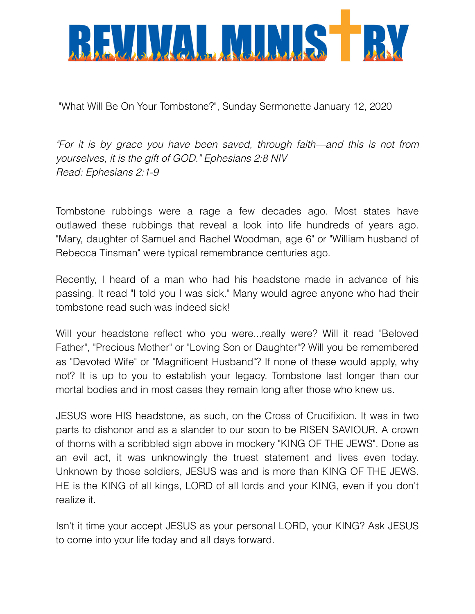

"What Will Be On Your Tombstone?", Sunday Sermonette January 12, 2020

*"For it is by grace you have been saved, through faith—and this is not from yourselves, it is the gift of GOD." Ephesians 2:8 NIV Read: Ephesians 2:1-9*

Tombstone rubbings were a rage a few decades ago. Most states have outlawed these rubbings that reveal a look into life hundreds of years ago. "Mary, daughter of Samuel and Rachel Woodman, age 6" or "William husband of Rebecca Tinsman" were typical remembrance centuries ago.

Recently, I heard of a man who had his headstone made in advance of his passing. It read "I told you I was sick." Many would agree anyone who had their tombstone read such was indeed sick!

Will your headstone reflect who you were...really were? Will it read "Beloved Father", "Precious Mother" or "Loving Son or Daughter"? Will you be remembered as "Devoted Wife" or "Magnificent Husband"? If none of these would apply, why not? It is up to you to establish your legacy. Tombstone last longer than our mortal bodies and in most cases they remain long after those who knew us.

JESUS wore HIS headstone, as such, on the Cross of Crucifixion. It was in two parts to dishonor and as a slander to our soon to be RISEN SAVIOUR. A crown of thorns with a scribbled sign above in mockery "KING OF THE JEWS". Done as an evil act, it was unknowingly the truest statement and lives even today. Unknown by those soldiers, JESUS was and is more than KING OF THE JEWS. HE is the KING of all kings, LORD of all lords and your KING, even if you don't realize it.

Isn't it time your accept JESUS as your personal LORD, your KING? Ask JESUS to come into your life today and all days forward.